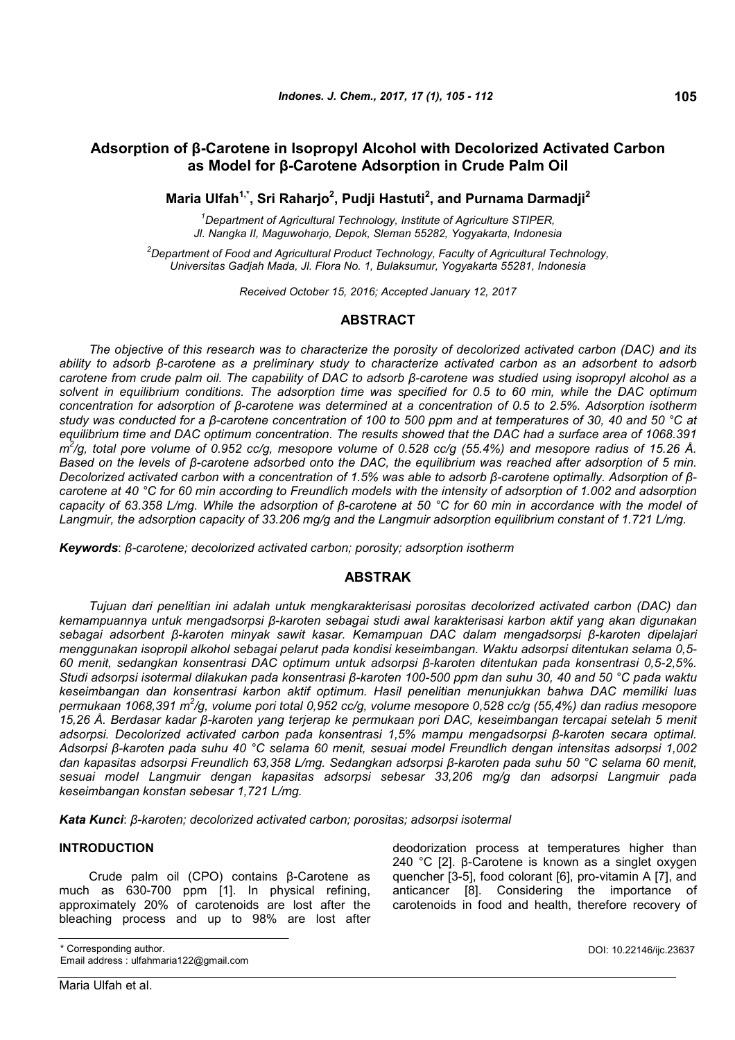## **Adsorption of β-Carotene in Isopropyl Alcohol with Decolorized Activated Carbon as Model for β-Carotene Adsorption in Crude Palm Oil**

**Maria Ulfah1,\*, Sri Raharjo<sup>2</sup> , Pudji Hastuti<sup>2</sup> , and Purnama Darmadji<sup>2</sup>**

*<sup>1</sup>Department of Agricultural Technology, Institute of Agriculture STIPER, Jl. Nangka II, Maguwoharjo, Depok, Sleman 55282, Yogyakarta, Indonesia*

*<sup>2</sup>Department of Food and Agricultural Product Technology, Faculty of Agricultural Technology, Universitas Gadjah Mada, Jl. Flora No. 1, Bulaksumur, Yogyakarta 55281, Indonesia*

*Received October 15, 2016; Accepted January 12, 2017*

## **ABSTRACT**

*The objective of this research was to characterize the porosity of decolorized activated carbon (DAC) and its* ability to adsorb ß-carotene as a preliminary study to characterize activated carbon as an adsorbent to adsorb carotene from crude palm oil. The capability of DAC to adsorb  $\beta$ -carotene was studied using isopropyl alcohol as a *solvent in equilibrium conditions. The adsorption time was specified for 0.5 to 60 min, while the DAC optimum concentration for adsorption of β-carotene was determined at a concentration of 0.5 to 2.5%. Adsorption isotherm* study was conducted for a β-carotene concentration of 100 to 500 ppm and at temperatures of 30, 40 and 50 °C at *equilibrium time and DAC optimum concentration. The results showed that the DAC had a surface area of 1068.391 m 2 /g, total pore volume of 0.952 cc/g, mesopore volume of 0.528 cc/g (55.4%) and mesopore radius of 15.26 Å.* Based on the levels of  $\beta$ -carotene adsorbed onto the DAC, the equilibrium was reached after adsorption of 5 min. Decolorized activated carbon with a concentration of 1.5% was able to adsorb  $\beta$ -carotene optimally. Adsorption of  $\beta$ *carotene at 40 °C for 60 min according to Freundlich models with the intensity of adsorption of 1.002 and adsorption* capacity of 63.358 L/mg. While the adsorption of ß-carotene at 50 °C for 60 min in accordance with the model of *Langmuir, the adsorption capacity of 33.206 mg/g and the Langmuir adsorption equilibrium constant of 1.721 L/mg.*

*Keywords*: *β-carotene; decolorized activated carbon; porosity; adsorption isotherm*

## **ABSTRAK**

*Tujuan dari penelitian ini adalah untuk mengkarakterisasi porositas decolorized activated carbon (DAC) dan kemampuannya untuk mengadsorpsi β-karoten sebagai studi awal karakterisasi karbon aktif yang akan digunakan sebagai adsorbent β-karoten minyak sawit kasar. Kemampuan DAC dalam mengadsorpsi β-karoten dipelajari menggunakan isopropil alkohol sebagai pelarut pada kondisi keseimbangan. Waktu adsorpsi ditentukan selama 0,5- 60 menit, sedangkan konsentrasi DAC optimum untuk adsorpsi β-karoten ditentukan pada konsentrasi 0,5-2,5%.* Studi adsorpsi isotermal dilakukan pada konsentrasi β-karoten 100-500 ppm dan suhu 30, 40 and 50 °C pada waktu *keseimbangan dan konsentrasi karbon aktif optimum. Hasil penelitian menunjukkan bahwa DAC memiliki luas permukaan 1068,391 m<sup>2</sup> /g, volume pori total 0,952 cc/g, volume mesopore 0,528 cc/g (55,4%) dan radius mesopore 15,26 Å. Berdasar kadar β-karoten yang terjerap ke permukaan pori DAC, keseimbangan tercapai setelah 5 menit adsorpsi. Decolorized activated carbon pada konsentrasi 1,5% mampu mengadsorpsi β-karoten secara optimal. Adsorpsi β-karoten pada suhu 40 °C selama 60 menit, sesuai model Freundlich dengan intensitas adsorpsi 1,002 dan kapasitas adsorpsi Freundlich 63,358 L/mg. Sedangkan adsorpsi β-karoten pada suhu 50 °C selama 60 menit, sesuai model Langmuir dengan kapasitas adsorpsi sebesar 33,206 mg/g dan adsorpsi Langmuir pada keseimbangan konstan sebesar 1,721 L/mg.*

*Kata Kunci*: *β-karoten; decolorized activated carbon; porositas; adsorpsi isotermal*

## **INTRODUCTION**

Crude palm oil (CPO) contains β-Carotene as much as 630-700 ppm [1]. In physical refining, approximately 20% of carotenoids are lost after the bleaching process and up to 98% are lost after deodorization process at temperatures higher than 240 °C [2]. β-Carotene is known as a singlet oxygen quencher [3-5], food colorant [6], pro-vitamin A [7], and anticancer [8]. Considering the importance of carotenoids in food and health, therefore recovery of

\* Corresponding author.

Email address : ulfahmaria122@gmail.com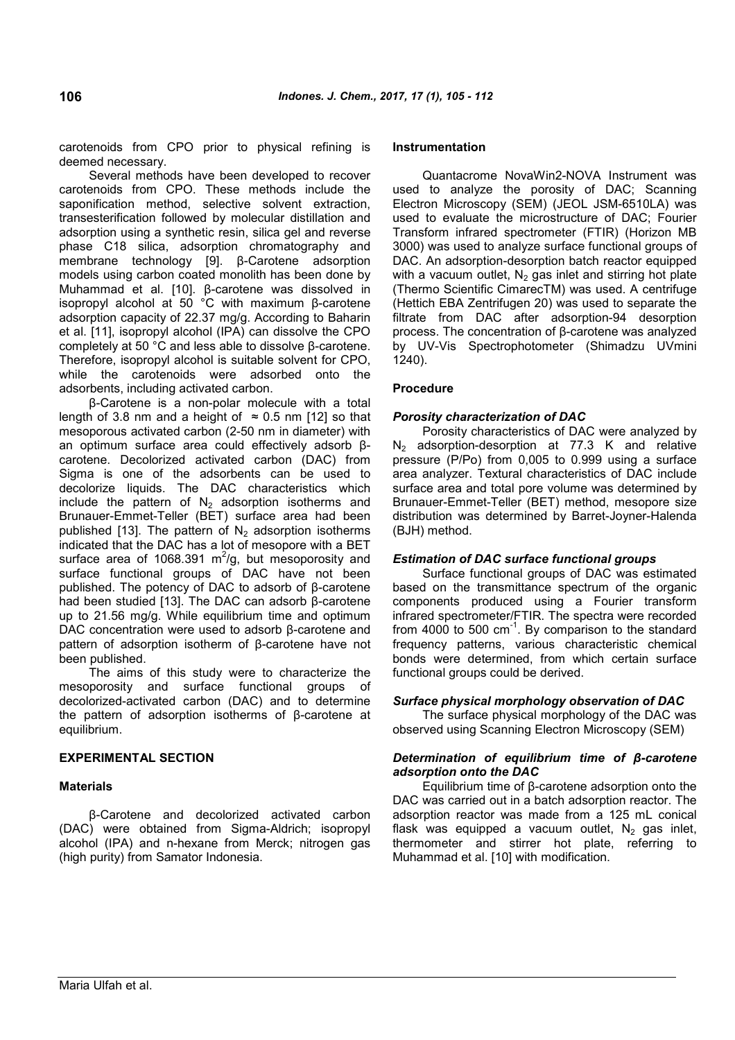carotenoids from CPO prior to physical refining is deemed necessary.

Several methods have been developed to recover carotenoids from CPO. These methods include the saponification method, selective solvent extraction, transesterification followed by molecular distillation and adsorption using a synthetic resin, silica gel and reverse phase C18 silica, adsorption chromatography and membrane technology [9]. β-Carotene adsorption models using carbon coated monolith has been done by Muhammad et al. [10]. β-carotene was dissolved in isopropyl alcohol at 50 °C with maximum β-carotene adsorption capacity of 22.37 mg/g. According to Baharin et al. [11], isopropyl alcohol (IPA) can dissolve the CPO completely at 50 °C and less able to dissolve β-carotene. Therefore, isopropyl alcohol is suitable solvent for CPO, while the carotenoids were adsorbed onto the adsorbents, including activated carbon.

β-Carotene is a non-polar molecule with a total length of 3.8 nm and a height of  $\approx$  0.5 nm [12] so that mesoporous activated carbon (2-50 nm in diameter) with an optimum surface area could effectively adsorb βcarotene. Decolorized activated carbon (DAC) from Sigma is one of the adsorbents can be used to decolorize liquids. The DAC characteristics which include the pattern of  $N_2$  adsorption isotherms and Brunauer-Emmet-Teller (BET) surface area had been published [13]. The pattern of  $N_2$  adsorption isotherms indicated that the DAC has a lot of mesopore with a BET surface area of 1068.391  $\text{m}^2$ /g, but mesoporosity and surface functional groups of DAC have not been published. The potency of DAC to adsorb of β-carotene had been studied [13]. The DAC can adsorb β-carotene up to 21.56 mg/g. While equilibrium time and optimum DAC concentration were used to adsorb β-carotene and pattern of adsorption isotherm of β-carotene have not been published.

The aims of this study were to characterize the mesoporosity and surface functional groups of decolorized-activated carbon (DAC) and to determine the pattern of adsorption isotherms of β-carotene at equilibrium.

## **EXPERIMENTAL SECTION**

### **Materials**

β-Carotene and decolorized activated carbon (DAC) were obtained from Sigma-Aldrich; isopropyl alcohol (IPA) and n-hexane from Merck; nitrogen gas (high purity) from Samator Indonesia.

#### **Instrumentation**

Quantacrome NovaWin2-NOVA Instrument was used to analyze the porosity of DAC; Scanning Electron Microscopy (SEM) (JEOL JSM-6510LA) was used to evaluate the microstructure of DAC; Fourier Transform infrared spectrometer (FTIR) (Horizon MB 3000) was used to analyze surface functional groups of DAC. An adsorption-desorption batch reactor equipped with a vacuum outlet,  $N_2$  gas inlet and stirring hot plate (Thermo Scientific CimarecTM) was used. A centrifuge (Hettich EBA Zentrifugen 20) was used to separate the filtrate from DAC after adsorption-94 desorption process. The concentration of β-carotene was analyzed by UV-Vis Spectrophotometer (Shimadzu UVmini 1240).

## **Procedure**

### *Porosity characterization of DAC*

Porosity characteristics of DAC were analyzed by N<sup>2</sup> adsorption-desorption at 77.3 K and relative pressure (P/Po) from 0,005 to 0.999 using a surface area analyzer. Textural characteristics of DAC include surface area and total pore volume was determined by Brunauer-Emmet-Teller (BET) method, mesopore size distribution was determined by Barret-Joyner-Halenda (BJH) method.

### *Estimation of DAC surface functional groups*

Surface functional groups of DAC was estimated based on the transmittance spectrum of the organic components produced using a Fourier transform infrared spectrometer/FTIR. The spectra were recorded from 4000 to 500  $cm^{-1}$ . By comparison to the standard frequency patterns, various characteristic chemical bonds were determined, from which certain surface functional groups could be derived.

### *Surface physical morphology observation of DAC*

The surface physical morphology of the DAC was observed using Scanning Electron Microscopy (SEM)

### *Determination of equilibrium time of β-carotene adsorption onto the DAC*

Equilibrium time of β-carotene adsorption onto the DAC was carried out in a batch adsorption reactor. The adsorption reactor was made from a 125 mL conical flask was equipped a vacuum outlet,  $N_2$  gas inlet, thermometer and stirrer hot plate, referring to Muhammad et al. [10] with modification.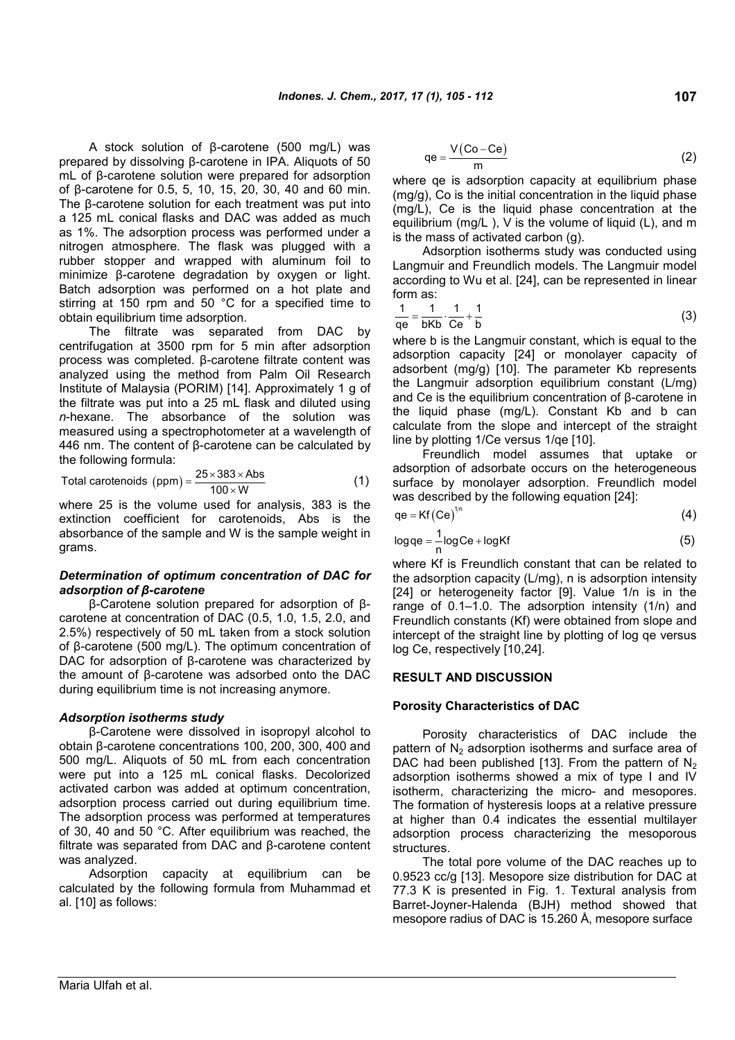A stock solution of β-carotene (500 mg/L) was prepared by dissolving β-carotene in IPA. Aliquots of 50 mL of β-carotene solution were prepared for adsorption of β-carotene for 0.5, 5, 10, 15, 20, 30, 40 and 60 min. The β-carotene solution for each treatment was put into a 125 mL conical flasks and DAC was added as much as 1%. The adsorption process was performed under a nitrogen atmosphere. The flask was plugged with a rubber stopper and wrapped with aluminum foil to minimize β-carotene degradation by oxygen or light. Batch adsorption was performed on a hot plate and stirring at 150 rpm and 50 °C for a specified time to obtain equilibrium time adsorption.

The filtrate was separated from DAC by centrifugation at 3500 rpm for 5 min after adsorption process was completed. β-carotene filtrate content was analyzed using the method from Palm Oil Research Institute of Malaysia (PORIM) [14]. Approximately 1 g of the filtrate was put into a 25 mL flask and diluted using *n*-hexane. The absorbance of the solution was measured using a spectrophotometer at a wavelength of 446 nm. The content of β-carotene can be calculated by the following formula:

Total carotenoids (ppm) = 
$$
\frac{25 \times 383 \times \text{Abs}}{100 \times \text{W}}
$$
 (1)

where 25 is the volume used for analysis, 383 is the extinction coefficient for carotenoids, Abs is the absorbance of the sample and W is the sample weight in grams.

### *Determination of optimum concentration of DAC for adsorption of β-carotene*

β-Carotene solution prepared for adsorption of βcarotene at concentration of DAC (0.5, 1.0, 1.5, 2.0, and 2.5%) respectively of 50 mL taken from a stock solution of β-carotene (500 mg/L). The optimum concentration of DAC for adsorption of β-carotene was characterized by the amount of β-carotene was adsorbed onto the DAC during equilibrium time is not increasing anymore.

### *Adsorption isotherms study*

β-Carotene were dissolved in isopropyl alcohol to obtain β-carotene concentrations 100, 200, 300, 400 and 500 mg/L. Aliquots of 50 mL from each concentration were put into a 125 mL conical flasks. Decolorized activated carbon was added at optimum concentration, adsorption process carried out during equilibrium time. The adsorption process was performed at temperatures of 30, 40 and 50 °C. After equilibrium was reached, the filtrate was separated from DAC and β-carotene content was analyzed.

Adsorption capacity at equilibrium can be calculated by the following formula from Muhammad et al. [10] as follows:

$$
qe = \frac{V(Co - Ce)}{m}
$$
 (2)

where qe is adsorption capacity at equilibrium phase (mg/g), Co is the initial concentration in the liquid phase (mg/L), Ce is the liquid phase concentration at the equilibrium (mg/L ), V is the volume of liquid (L), and m is the mass of activated carbon (g).

Adsorption isotherms study was conducted using Langmuir and Freundlich models. The Langmuir model according to Wu et al. [24], can be represented in linear form as:

$$
\frac{1}{\text{qe}} = \frac{1}{\text{bKb}} \cdot \frac{1}{\text{Ce}} + \frac{1}{\text{b}}\tag{3}
$$

where b is the Langmuir constant, which is equal to the adsorption capacity [24] or monolayer capacity of adsorbent (mg/g) [10]. The parameter Kb represents the Langmuir adsorption equilibrium constant (L/mg) and Ce is the equilibrium concentration of β-carotene in the liquid phase (mg/L). Constant Kb and b can calculate from the slope and intercept of the straight line by plotting 1/Ce versus 1/qe [10].

Freundlich model assumes that uptake or adsorption of adsorbate occurs on the heterogeneous surface by monolayer adsorption. Freundlich model was described by the following equation [24]:

$$
qe = Kf (Ce)^{\sqrt{n}} \tag{4}
$$

$$
log qe = \frac{1}{n} log Ce + log Kf
$$
 (5)

where Kf is Freundlich constant that can be related to the adsorption capacity (L/mg), n is adsorption intensity [24] or heterogeneity factor [9]. Value 1/n is in the range of 0.1–1.0. The adsorption intensity (1/n) and Freundlich constants (Kf) were obtained from slope and intercept of the straight line by plotting of log qe versus log Ce, respectively [10,24].

### **RESULT AND DISCUSSION**

#### **Porosity Characteristics of DAC**

Porosity characteristics of DAC include the pattern of  $N<sub>2</sub>$  adsorption isotherms and surface area of DAC had been published [13]. From the pattern of  $N_2$ adsorption isotherms showed a mix of type I and IV isotherm, characterizing the micro- and mesopores. The formation of hysteresis loops at a relative pressure at higher than 0.4 indicates the essential multilayer adsorption process characterizing the mesoporous structures.

The total pore volume of the DAC reaches up to 0.9523 cc/g [13]. Mesopore size distribution for DAC at 77.3 K is presented in Fig. 1. Textural analysis from Barret-Joyner-Halenda (BJH) method showed that mesopore radius of DAC is 15.260 Å, mesopore surface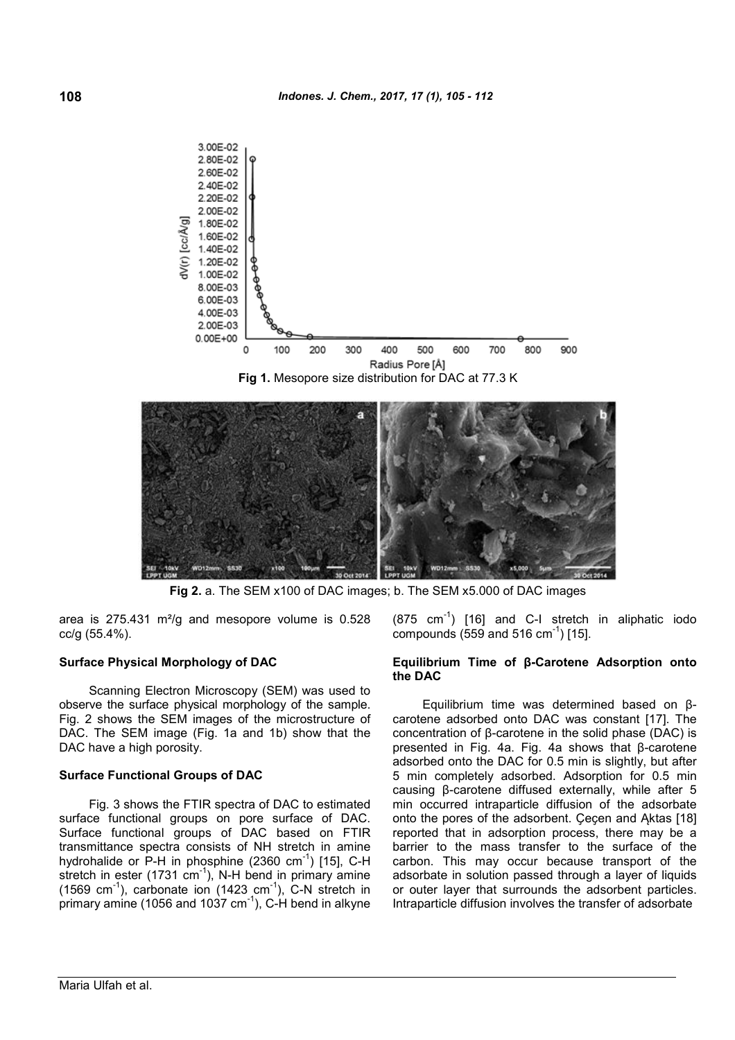



**Fig 2.** a. The SEM x100 of DAC images; b. The SEM x5.000 of DAC images

area is  $275.431 \text{ m}^2/\text{g}$  and mesopore volume is 0.528 cc/g (55.4%).

#### **Surface Physical Morphology of DAC**

Scanning Electron Microscopy (SEM) was used to observe the surface physical morphology of the sample. Fig. 2 shows the SEM images of the microstructure of DAC. The SEM image (Fig. 1a and 1b) show that the DAC have a high porosity.

#### **Surface Functional Groups of DAC**

Fig. 3 shows the FTIR spectra of DAC to estimated surface functional groups on pore surface of DAC. Surface functional groups of DAC based on FTIR transmittance spectra consists of NH stretch in amine hydrohalide or P-H in phosphine  $(2360 \text{ cm}^{-1})$  [15], C-H stretch in ester (1731 cm<sup>-1</sup>), N-H bend in primary amine  $(1569 \text{ cm}^{-1})$ , carbonate ion  $(1423 \text{ cm}^{-1})$ , C-N stretch in primary amine (1056 and 1037  $cm^{-1}$ ), C-H bend in alkyne  $(875 \text{ cm}^{-1})$  [16] and C-I stretch in aliphatic iodo compounds (559 and 516 cm<sup>-1</sup>) [15].

#### **Equilibrium Time of β-Carotene Adsorption onto the DAC**

Equilibrium time was determined based on βcarotene adsorbed onto DAC was constant [17]. The concentration of β-carotene in the solid phase (DAC) is presented in Fig. 4a. Fig. 4a shows that β-carotene adsorbed onto the DAC for 0.5 min is slightly, but after 5 min completely adsorbed. Adsorption for 0.5 min causing β-carotene diffused externally, while after 5 min occurred intraparticle diffusion of the adsorbate onto the pores of the adsorbent. Cecen and Aktas [18] reported that in adsorption process, there may be a barrier to the mass transfer to the surface of the carbon. This may occur because transport of the adsorbate in solution passed through a layer of liquids or outer layer that surrounds the adsorbent particles. Intraparticle diffusion involves the transfer of adsorbate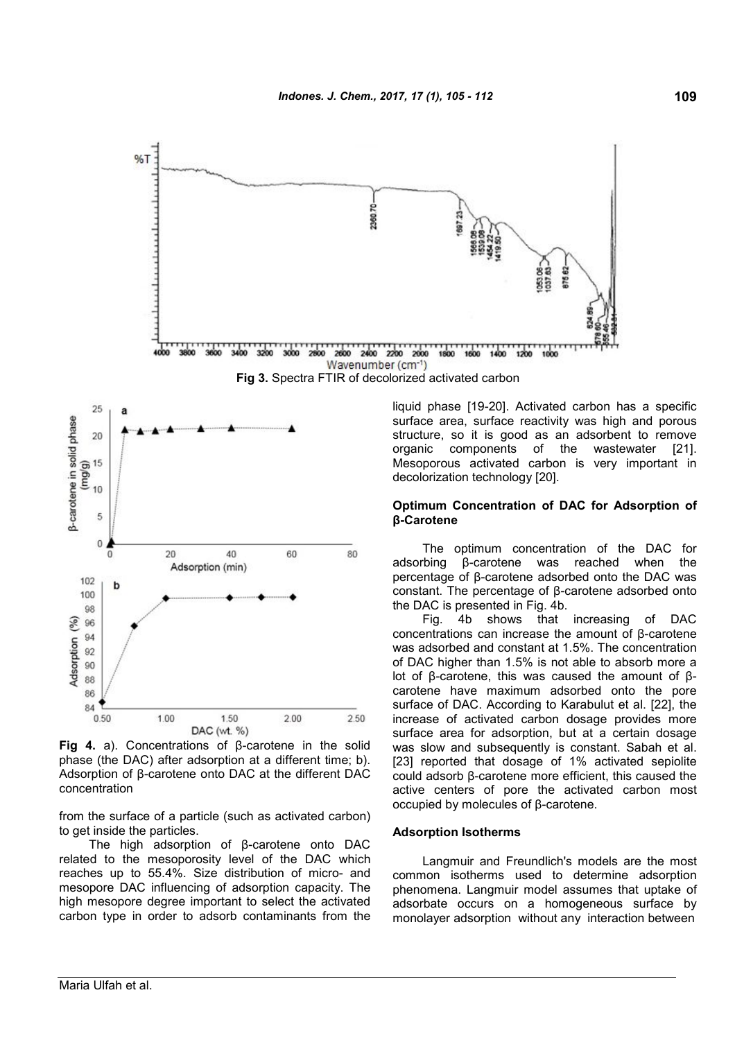

**Fig 4.** a). Concentrations of β-carotene in the solid phase (the DAC) after adsorption at a different time; b). Adsorption of β-carotene onto DAC at the different DAC concentration

DAC (wt. %)

from the surface of a particle (such as activated carbon) to get inside the particles.

The high adsorption of β-carotene onto DAC related to the mesoporosity level of the DAC which reaches up to 55.4%. Size distribution of micro- and mesopore DAC influencing of adsorption capacity. The high mesopore degree important to select the activated carbon type in order to adsorb contaminants from the liquid phase [19-20]. Activated carbon has a specific surface area, surface reactivity was high and porous structure, so it is good as an adsorbent to remove organic components of the wastewater [21]. Mesoporous activated carbon is very important in

# **Optimum Concentration of DAC for Adsorption of**

The optimum concentration of the DAC for adsorbing B-carotene was reached when the β-carotene was reached when the percentage of β-carotene adsorbed onto the DAC was constant. The percentage of β-carotene adsorbed onto

Fig. 4b shows that increasing of DAC concentrations can increase the amount of β-carotene was adsorbed and constant at 1.5%. The concentration of DAC higher than 1.5% is not able to absorb more a lot of β-carotene, this was caused the amount of βcarotene have maximum adsorbed onto the pore surface of DAC. According to Karabulut et al. [22], the increase of activated carbon dosage provides more surface area for adsorption, but at a certain dosage was slow and subsequently is constant. Sabah et al. [23] reported that dosage of 1% activated sepiolite could adsorb β-carotene more efficient, this caused the active centers of pore the activated carbon most occupied by molecules of β-carotene.

#### **Adsorption Isotherms**

Langmuir and Freundlich's models are the most common isotherms used to determine adsorption phenomena. Langmuir model assumes that uptake of adsorbate occurs on a homogeneous surface by monolayer adsorption without any interaction between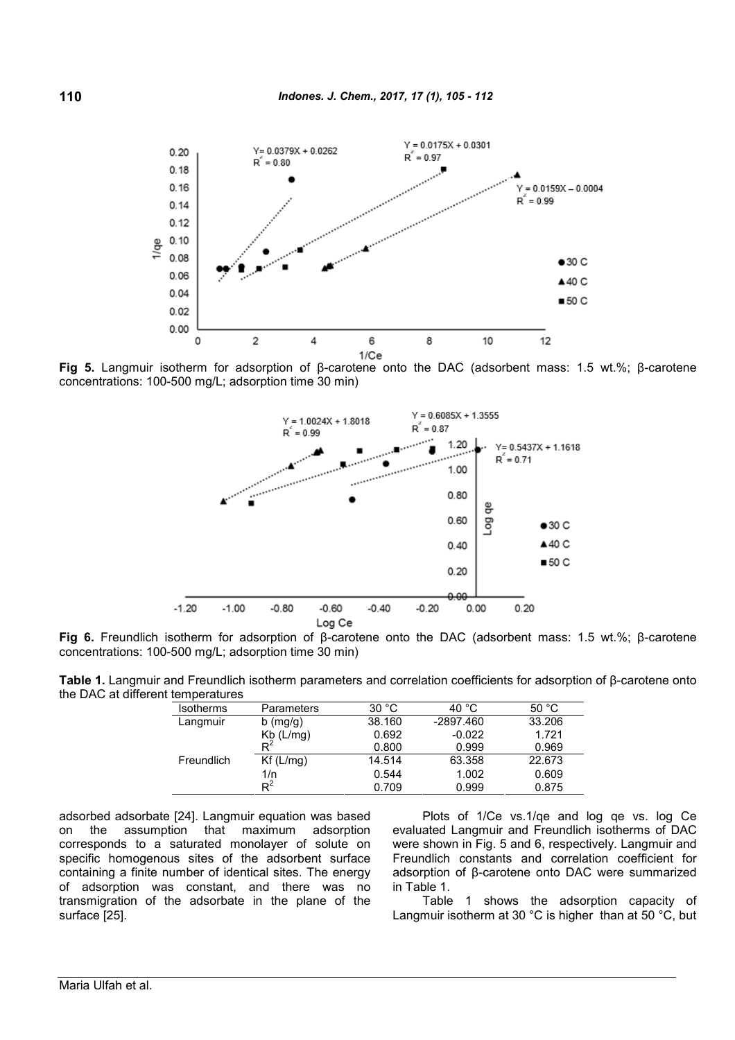

**Fig 5.** Langmuir isotherm for adsorption of β-carotene onto the DAC (adsorbent mass: 1.5 wt.%; β-carotene concentrations: 100-500 mg/L; adsorption time 30 min)



**Fig 6.** Freundlich isotherm for adsorption of β-carotene onto the DAC (adsorbent mass: 1.5 wt.%; β-carotene concentrations: 100-500 mg/L; adsorption time 30 min)

**Table 1.** Langmuir and Freundlich isotherm parameters and correlation coefficients for adsorption of β-carotene onto the DAC at different temperatures

| Isotherms  | <b>Parameters</b>                         | 30 °C  | 40 °C       | 50 °C  |
|------------|-------------------------------------------|--------|-------------|--------|
| Langmuir   | $b$ (mg/g)                                | 38.160 | $-2897.460$ | 33.206 |
|            | $\frac{\mathsf{Kb}}{\mathsf{R}^2}$ (L/mg) | 0.692  | $-0.022$    | 1.721  |
|            |                                           | 0.800  | 0.999       | 0.969  |
| Freundlich | Kf(L/mg)                                  | 14.514 | 63.358      | 22.673 |
|            | 1/n                                       | 0.544  | 1.002       | 0.609  |
|            | $R^2$                                     | 0.709  | 0.999       | 0.875  |

adsorbed adsorbate [24]. Langmuir equation was based on the assumption that maximum adsorption corresponds to a saturated monolayer of solute on specific homogenous sites of the adsorbent surface containing a finite number of identical sites. The energy of adsorption was constant, and there was no transmigration of the adsorbate in the plane of the surface [25].

Plots of 1/Ce vs.1/qe and log qe vs. log Ce evaluated Langmuir and Freundlich isotherms of DAC were shown in Fig. 5 and 6, respectively. Langmuir and Freundlich constants and correlation coefficient for adsorption of β-carotene onto DAC were summarized in Table 1.

Table 1 shows the adsorption capacity of Langmuir isotherm at 30 °C is higher than at 50 °C, but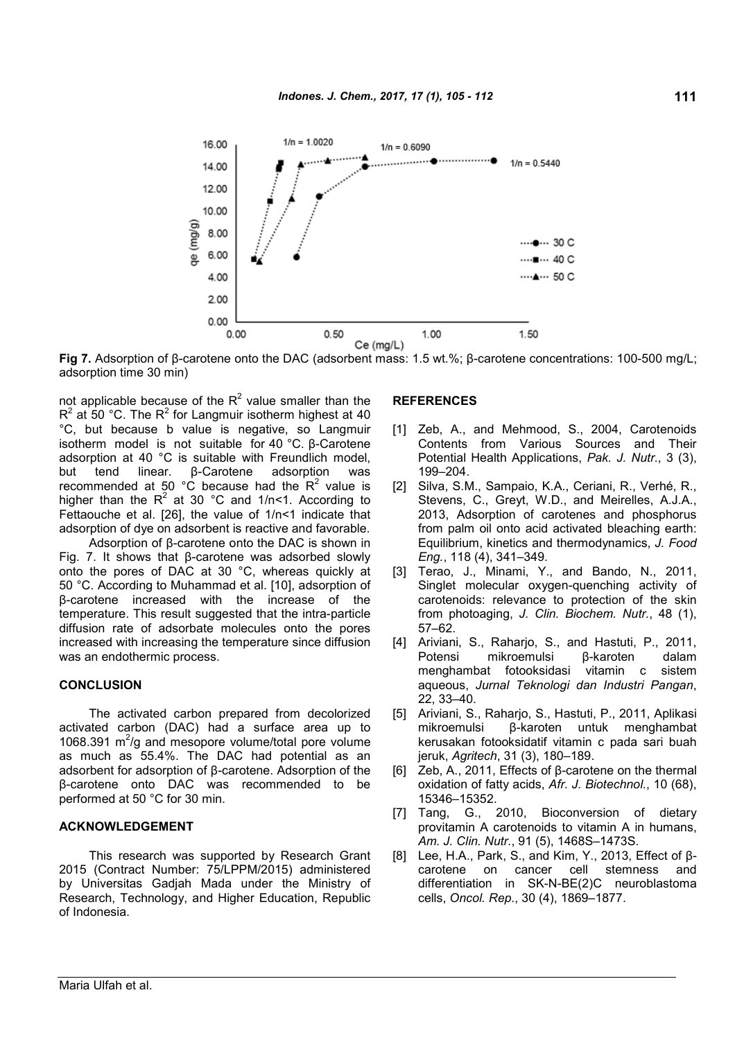

**Fig 7.** Adsorption of β-carotene onto the DAC (adsorbent mass: 1.5 wt.%; β-carotene concentrations: 100-500 mg/L; adsorption time 30 min)

not applicable because of the R $^2$  value smaller than the R $^2$  at 50 °C. The R $^2$  for Langmuir isotherm highest at 40  $^{\circ}$ °C, but because b value is negative, so Langmuir isotherm model is not suitable for 40 °C. β-Carotene adsorption at 40 °C is suitable with Freundlich model,<br>but tend linear. B-Carotene adsorption was but tend linear. β-Carotene adsorption was recommended at 50 °C because had the  $R^2$  value is [ higher than the R $^2$  at 30 °C and 1/n<1. According to Fettaouche et al. [26], the value of 1/n<1 indicate that adsorption of dye on adsorbent is reactive and favorable.

Adsorption of β-carotene onto the DAC is shown in Fig. 7. It shows that β-carotene was adsorbed slowly onto the pores of DAC at 30 °C, whereas quickly at 50 °C. According to Muhammad et al. [10], adsorption of β-carotene increased with the increase of the temperature. This result suggested that the intra-particle diffusion rate of adsorbate molecules onto the pores increased with increasing the temperature since diffusion was an endothermic process.

#### **CONCLUSION**

The activated carbon prepared from decolorized activated carbon (DAC) had a surface area up to 1068.391 m<sup>2</sup>/g and mesopore volume/total pore volume as much as 55.4%. The DAC had potential as an adsorbent for adsorption of β-carotene. Adsorption of the β-carotene onto DAC was recommended to be performed at 50 °C for 30 min.

#### **ACKNOWLEDGEMENT**

This research was supported by Research Grant 2015 (Contract Number: 75/LPPM/2015) administered by Universitas Gadjah Mada under the Ministry of Research, Technology, and Higher Education, Republic of Indonesia.

## **REFERENCES**

- [1] Zeb, A., and Mehmood, S., 2004, Carotenoids Contents from Various Sources and Their Potential Health Applications, *Pak. J. Nutr.*, 3 (3), 199–204.
- [2] Silva, S.M., Sampaio, K.A., Ceriani, R., Verhé, R., Stevens, C., Greyt, W.D., and Meirelles, A.J.A., 2013, Adsorption of carotenes and phosphorus from palm oil onto acid activated bleaching earth: Equilibrium, kinetics and thermodynamics, *J. Food Eng.*, 118 (4), 341–349.
- [3] Terao, J., Minami, Y., and Bando, N., 2011, Singlet molecular oxygen-quenching activity of carotenoids: relevance to protection of the skin from photoaging, *J. Clin. Biochem. Nutr.*, 48 (1), 57–62.
- [4] Ariviani, S., Raharjo, S., and Hastuti, P., 2011, Potensi mikroemulsi β-karoten dalam menghambat fotooksidasi vitamin c sistem aqueous, *Jurnal Teknologi dan Industri Pangan*, 22, 33–40.
- [5] Ariviani, S., Raharjo, S., Hastuti, P., 2011, Aplikasi mikroemulsi β-karoten untuk menghambat kerusakan fotooksidatif vitamin c pada sari buah jeruk, *Agritech*, 31 (3), 180–189.
- [6] Zeb, A., 2011, Effects of β-carotene on the thermal oxidation of fatty acids, *Afr. J. Biotechnol.*, 10 (68), 15346–15352.
- [7] Tang, G., 2010, Bioconversion of dietary provitamin A carotenoids to vitamin A in humans, *Am. J. Clin. Nutr.*, 91 (5), 1468S–1473S.
- [8] Lee, H.A., Park, S., and Kim, Y., 2013, Effect of βcarotene on cancer cell stemness and differentiation in SK-N-BE(2)C neuroblastoma cells, *Oncol. Rep.*, 30 (4), 1869–1877.